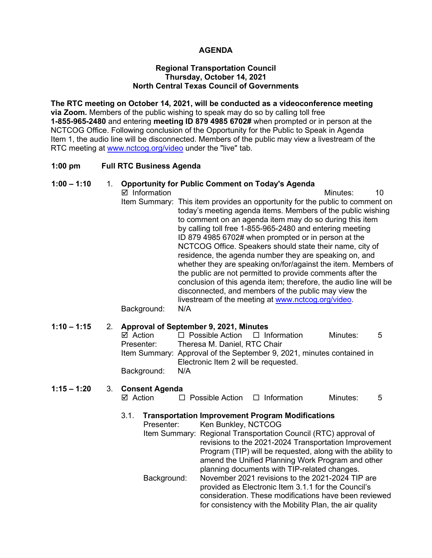### **AGENDA**

### **Regional Transportation Council Thursday, October 14, 2021 North Central Texas Council of Governments**

**The RTC meeting on October 14, 2021, will be conducted as a videoconference meeting via Zoom.** Members of the public wishing to speak may do so by calling toll free **1-855-965-2480** and entering **meeting ID 879 4985 6702#** when prompted or in person at the NCTCOG Office. Following conclusion of the Opportunity for the Public to Speak in Agenda Item 1, the audio line will be disconnected. Members of the public may view a livestream of the RTC meeting at [www.nctcog.org/video](http://www.nctcog.org/video) under the "live" tab.

### **1:00 pm Full RTC Business Agenda**

### **1:00 – 1:10** 1. **Opportunity for Public Comment on Today's Agenda**

■ Information and The Minutes: 10 Item Summary: This item provides an opportunity for the public to comment on today's meeting agenda items. Members of the public wishing to comment on an agenda item may do so during this item by calling toll free 1-855-965-2480 and entering meeting ID 879 4985 6702# when prompted or in person at the NCTCOG Office. Speakers should state their name, city of residence, the agenda number they are speaking on, and whether they are speaking on/for/against the item. Members of the public are not permitted to provide comments after the conclusion of this agenda item; therefore, the audio line will be disconnected, and members of the public may view the livestream of the meeting at [www.nctcog.org/video.](http://www.nctcog.org/video)

Background: N/A

### **1:10 – 1:15** 2. **Approval of September 9, 2021, Minutes**

| ⊠ Action    | $\Box$ Possible Action $\Box$ Information |                                                                       | Minutes: | $5^{\circ}$ |
|-------------|-------------------------------------------|-----------------------------------------------------------------------|----------|-------------|
| Presenter:  | Theresa M. Daniel, RTC Chair              |                                                                       |          |             |
|             |                                           | Item Summary: Approval of the September 9, 2021, minutes contained in |          |             |
|             | Electronic Item 2 will be requested.      |                                                                       |          |             |
| Background: | N/A                                       |                                                                       |          |             |

#### **1:15 – 1:20** 3. **Consent Agenda**  $\Pi$  Possible Action  $\Pi$  Information Minutes:  $5$

|          | Trenenertetian Impressoret Dreamen Madifications |                   |  |
|----------|--------------------------------------------------|-------------------|--|
|          |                                                  |                   |  |
| - Action | $\Box$ POSSIDIC ACTION $\Box$ INTO THE THEORY    | $IVIII~IUE5.$ $J$ |  |

| 3.1. |             | <b>Transportation Improvement Program Modifications</b>                                                                  |
|------|-------------|--------------------------------------------------------------------------------------------------------------------------|
|      | Presenter:  | Ken Bunkley, NCTCOG                                                                                                      |
|      |             | Item Summary: Regional Transportation Council (RTC) approval of<br>revisions to the 2021-2024 Transportation Improvement |
|      |             | Program (TIP) will be requested, along with the ability to                                                               |
|      |             | amend the Unified Planning Work Program and other                                                                        |
|      |             | planning documents with TIP-related changes.                                                                             |
|      | Background: | November 2021 revisions to the 2021-2024 TIP are                                                                         |
|      |             | provided as Electronic Item 3.1.1 for the Council's                                                                      |
|      |             | consideration. These modifications have been reviewed<br>for consistency with the Mobility Plan, the air quality         |
|      |             |                                                                                                                          |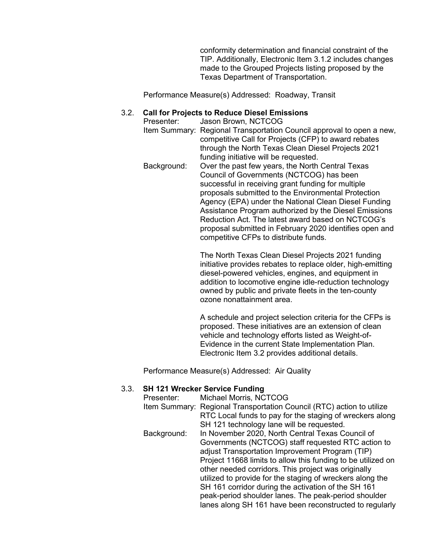conformity determination and financial constraint of the TIP. Additionally, Electronic Item 3.1.2 includes changes made to the Grouped Projects listing proposed by the Texas Department of Transportation.

Performance Measure(s) Addressed: Roadway, Transit

## 3.2. **Call for Projects to Reduce Diesel Emissions**

Jason Brown, NCTCOG Item Summary: Regional Transportation Council approval to open a new, competitive Call for Projects (CFP) to award rebates through the North Texas Clean Diesel Projects 2021 funding initiative will be requested. Background: Over the past few years, the North Central Texas Council of Governments (NCTCOG) has been successful in receiving grant funding for multiple proposals submitted to the Environmental Protection Agency (EPA) under the National Clean Diesel Funding Assistance Program authorized by the Diesel Emissions Reduction Act. The latest award based on NCTCOG's proposal submitted in February 2020 identifies open and competitive CFPs to distribute funds.

> The North Texas Clean Diesel Projects 2021 funding initiative provides rebates to replace older, high-emitting diesel-powered vehicles, engines, and equipment in addition to locomotive engine idle-reduction technology owned by public and private fleets in the ten-county ozone nonattainment area.

> A schedule and project selection criteria for the CFPs is proposed. These initiatives are an extension of clean vehicle and technology efforts listed as Weight-of-Evidence in the current State Implementation Plan. Electronic Item 3.2 provides additional details.

Performance Measure(s) Addressed: Air Quality

### 3.3. **SH 121 Wrecker Service Funding**

| Presenter:  | Michael Morris, NCTCOG                                                |
|-------------|-----------------------------------------------------------------------|
|             | Item Summary: Regional Transportation Council (RTC) action to utilize |
|             | RTC Local funds to pay for the staging of wreckers along              |
|             | SH 121 technology lane will be requested.                             |
| Background: | In November 2020, North Central Texas Council of                      |
|             | Governments (NCTCOG) staff requested RTC action to                    |
|             | adjust Transportation Improvement Program (TIP)                       |
|             | Project 11668 limits to allow this funding to be utilized on          |
|             | other needed corridors. This project was originally                   |
|             | utilized to provide for the staging of wreckers along the             |
|             | SH 161 corridor during the activation of the SH 161                   |
|             | peak-period shoulder lanes. The peak-period shoulder                  |
|             | lanes along SH 161 have been reconstructed to regularly               |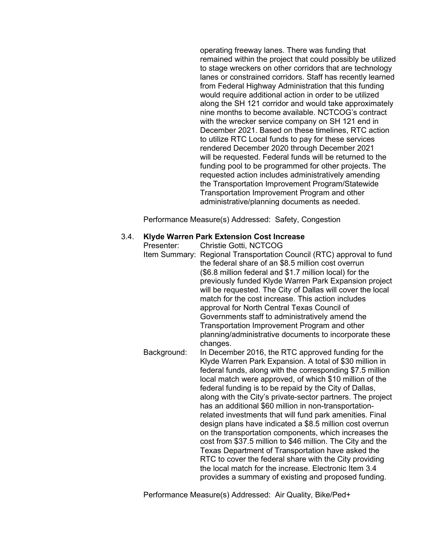operating freeway lanes. There was funding that remained within the project that could possibly be utilized to stage wreckers on other corridors that are technology lanes or constrained corridors. Staff has recently learned from Federal Highway Administration that this funding would require additional action in order to be utilized along the SH 121 corridor and would take approximately nine months to become available. NCTCOG's contract with the wrecker service company on SH 121 end in December 2021. Based on these timelines, RTC action to utilize RTC Local funds to pay for these services rendered December 2020 through December 2021 will be requested. Federal funds will be returned to the funding pool to be programmed for other projects. The requested action includes administratively amending the Transportation Improvement Program/Statewide Transportation Improvement Program and other administrative/planning documents as needed.

Performance Measure(s) Addressed: Safety, Congestion

### 3.4. **Klyde Warren Park Extension Cost Increase**

Presenter: Christie Gotti, NCTCOG Item Summary: Regional Transportation Council (RTC) approval to fund the federal share of an \$8.5 million cost overrun (\$6.8 million federal and \$1.7 million local) for the previously funded Klyde Warren Park Expansion project will be requested. The City of Dallas will cover the local match for the cost increase. This action includes approval for North Central Texas Council of Governments staff to administratively amend the Transportation Improvement Program and other planning/administrative documents to incorporate these changes. Background: In December 2016, the RTC approved funding for the Klyde Warren Park Expansion. A total of \$30 million in federal funds, along with the corresponding \$7.5 million local match were approved, of which \$10 million of the federal funding is to be repaid by the City of Dallas, along with the City's private-sector partners. The project has an additional \$60 million in non-transportationrelated investments that will fund park amenities. Final design plans have indicated a \$8.5 million cost overrun on the transportation components, which increases the cost from \$37.5 million to \$46 million. The City and the Texas Department of Transportation have asked the RTC to cover the federal share with the City providing the local match for the increase. Electronic Item 3.4 provides a summary of existing and proposed funding.

Performance Measure(s) Addressed: Air Quality, Bike/Ped+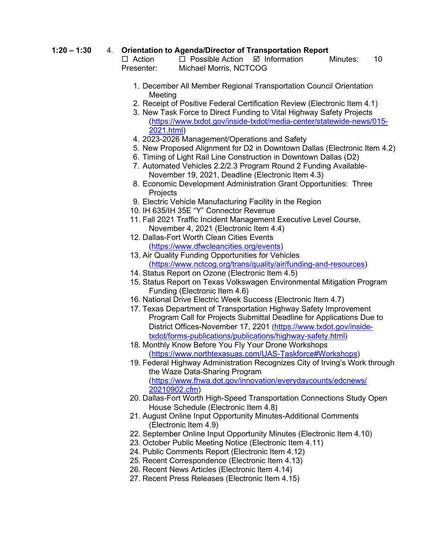# **1:20 – 1:30** 4. **Orientation to Agenda/Director of Transportation Report**

 $\Box$  Possible Action  $\Box$  Information Minutes: 10 Presenter: Michael Morris, NCTCOG

- 1. December All Member Regional Transportation Council Orientation Meeting
- 2. Receipt of Positive Federal Certification Review (Electronic Item 4.1)
- 3. New Task Force to Direct Funding to Vital Highway Safety Projects [\(https://www.txdot.gov/inside-txdot/media-center/statewide-news/015-](https://www.txdot.gov/inside-txdot/media-center/statewide-news/015-2021.html) [2021.html\)](https://www.txdot.gov/inside-txdot/media-center/statewide-news/015-2021.html)
- 4. 2023-2026 Management/Operations and Safety
- 5. New Proposed Alignment for D2 in Downtown Dallas (Electronic Item 4.2)
- 6. Timing of Light Rail Line Construction in Downtown Dallas (D2)
- 7. Automated Vehicles 2.2/2.3 Program Round 2 Funding Available-November 19, 2021, Deadline (Electronic Item 4.3)
- 8. Economic Development Administration Grant Opportunities: Three **Projects**
- 9. Electric Vehicle Manufacturing Facility in the Region
- 10. IH 635/IH 35E "Y" Connector Revenue
- 11. Fall 2021 Traffic Incident Management Executive Level Course, November 4, 2021 (Electronic Item 4.4)
- 12. Dallas-Fort Worth Clean Cities Events [\(https://www.dfwcleancities.org/events\)](https://www.dfwcleancities.org/events)
- 13. Air Quality Funding Opportunities for Vehicles [\(https://www.nctcog.org/trans/quality/air/funding-and-resources\)](https://www.nctcog.org/trans/quality/air/funding-and-resources)
- 14. Status Report on Ozone (Electronic Item 4.5)
- 15. Status Report on Texas Volkswagen Environmental Mitigation Program Funding (Electronic Item 4.6)
- 16. National Drive Electric Week Success (Electronic Item 4.7)
- 17. Texas Department of Transportation Highway Safety Improvement Program Call for Projects Submittal Deadline for Applications Due to District Offices-November 17, 2201 ([https://www.txdot.gov/inside](https://www.txdot.gov/inside-txdot/forms-publications/publications/highway-safety.html)[txdot/forms-publications/publications/highway-safety.html\)](https://www.txdot.gov/inside-txdot/forms-publications/publications/highway-safety.html)
- 18. Monthly Know Before You Fly Your Drone Workshops [\(https://www.northtexasuas.com/UAS-Taskforce#Workshops\)](https://www.northtexasuas.com/UAS-Taskforce#Workshops)
- 19. Federal Highway Administration Recognizes City of Irving's Work through the Waze Data-Sharing Program [\(https://www.fhwa.dot.gov/innovation/everydaycounts/edcnews/](https://www.fhwa.dot.gov/innovation/everydaycounts/edcnews/20210902.cfm) [20210902.cfm\)](https://www.fhwa.dot.gov/innovation/everydaycounts/edcnews/20210902.cfm)
- 20. Dallas-Fort Worth High-Speed Transportation Connections Study Open House Schedule (Electronic Item 4.8)
- 21. August Online Input Opportunity Minutes-Additional Comments (Electronic Item 4.9)
- 22. September Online Input Opportunity Minutes (Electronic Item 4.10)
- 23. October Public Meeting Notice (Electronic Item 4.11)
- 24. Public Comments Report (Electronic Item 4.12)
- 25. Recent Correspondence (Electronic Item 4.13)
- 26. Recent News Articles (Electronic Item 4.14)
- 27. Recent Press Releases (Electronic Item 4.15)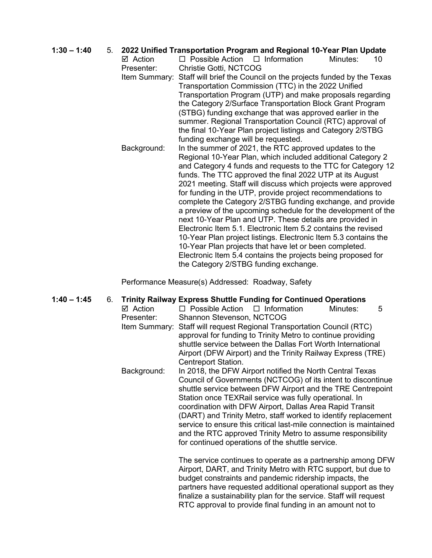# **1:30 – 1:40** 5. **2022 Unified Transportation Program and Regional 10-Year Plan Update**

 $\Box$  Possible Action  $\Box$  Information Presenter: Christie Gotti, NCTCOG Item Summary: Staff will brief the Council on the projects funded by the Texas Transportation Commission (TTC) in the 2022 Unified Transportation Program (UTP) and make proposals regarding the Category 2/Surface Transportation Block Grant Program (STBG) funding exchange that was approved earlier in the summer. Regional Transportation Council (RTC) approval of the final 10-Year Plan project listings and Category 2/STBG funding exchange will be requested. Background: In the summer of 2021, the RTC approved updates to the Regional 10-Year Plan, which included additional Category 2 and Category 4 funds and requests to the TTC for Category 12 funds. The TTC approved the final 2022 UTP at its August 2021 meeting. Staff will discuss which projects were approved for funding in the UTP, provide project recommendations to complete the Category 2/STBG funding exchange, and provide a preview of the upcoming schedule for the development of the next 10-Year Plan and UTP. These details are provided in Electronic Item 5.1. Electronic Item 5.2 contains the revised 10-Year Plan project listings. Electronic Item 5.3 contains the 10-Year Plan projects that have let or been completed. Electronic Item 5.4 contains the projects being proposed for the Category 2/STBG funding exchange.

Performance Measure(s) Addressed: Roadway, Safety

| $1:40 - 1:45$ | 6. | $\boxtimes$ Action<br>Presenter: | <b>Trinity Railway Express Shuttle Funding for Continued Operations</b><br>$\Box$ Possible Action<br>$\Box$ Information<br>Minutes:<br>5<br>Shannon Stevenson, NCTCOG<br>Item Summary: Staff will request Regional Transportation Council (RTC)<br>approval for funding to Trinity Metro to continue providing<br>shuttle service between the Dallas Fort Worth International<br>Airport (DFW Airport) and the Trinity Railway Express (TRE)<br>Centreport Station.                                                                                                       |
|---------------|----|----------------------------------|---------------------------------------------------------------------------------------------------------------------------------------------------------------------------------------------------------------------------------------------------------------------------------------------------------------------------------------------------------------------------------------------------------------------------------------------------------------------------------------------------------------------------------------------------------------------------|
|               |    | Background:                      | In 2018, the DFW Airport notified the North Central Texas<br>Council of Governments (NCTCOG) of its intent to discontinue<br>shuttle service between DFW Airport and the TRE Centrepoint<br>Station once TEXRail service was fully operational. In<br>coordination with DFW Airport, Dallas Area Rapid Transit<br>(DART) and Trinity Metro, staff worked to identify replacement<br>service to ensure this critical last-mile connection is maintained<br>and the RTC approved Trinity Metro to assume responsibility<br>for continued operations of the shuttle service. |
|               |    |                                  | The service continues to operate as a partnership among DFW<br>Airport, DART, and Trinity Metro with RTC support, but due to<br>budget constraints and pandemic ridership impacts, the<br>partners have requested additional operational support as they<br>finalize a sustainability plan for the service. Staff will request<br>RTC approval to provide final funding in an amount not to                                                                                                                                                                               |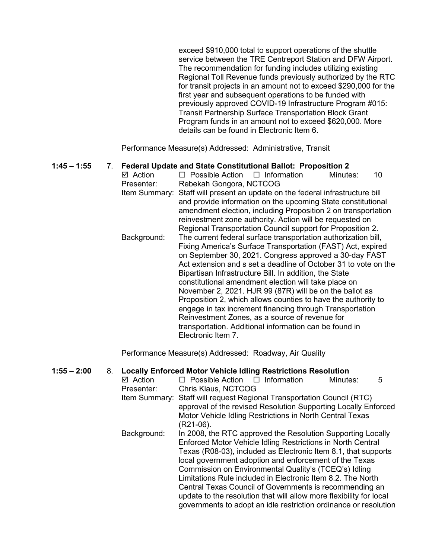exceed \$910,000 total to support operations of the shuttle service between the TRE Centreport Station and DFW Airport. The recommendation for funding includes utilizing existing Regional Toll Revenue funds previously authorized by the RTC for transit projects in an amount not to exceed \$290,000 for the first year and subsequent operations to be funded with previously approved COVID-19 Infrastructure Program #015: Transit Partnership Surface Transportation Block Grant Program funds in an amount not to exceed \$620,000. More details can be found in Electronic Item 6.

Performance Measure(s) Addressed: Administrative, Transit

# **1:45 – 1:55** 7. **Federal Update and State Constitutional Ballot: Proposition 2**

 $\Box$  Possible Action  $\Box$  Information Minutes: 10 Presenter: Rebekah Gongora, NCTCOG Item Summary: Staff will present an update on the federal infrastructure bill and provide information on the upcoming State constitutional amendment election, including Proposition 2 on transportation reinvestment zone authority. Action will be requested on Regional Transportation Council support for Proposition 2. Background: The current federal surface transportation authorization bill, Fixing America's Surface Transportation (FAST) Act, expired on September 30, 2021. Congress approved a 30-day FAST Act extension and s set a deadline of October 31 to vote on the Bipartisan Infrastructure Bill. In addition, the State constitutional amendment election will take place on November 2, 2021. HJR 99 (87R) will be on the ballot as Proposition 2, which allows counties to have the authority to engage in tax increment financing through Transportation Reinvestment Zones, as a source of revenue for transportation. Additional information can be found in Electronic Item 7.

Performance Measure(s) Addressed: Roadway, Air Quality

### **1:55 – 2:00** 8. **Locally Enforced Motor Vehicle Idling Restrictions Resolution**

| ☑ Action    | $\Box$ Possible Action $\Box$ Information                              | Minutes: | 5 |
|-------------|------------------------------------------------------------------------|----------|---|
| Presenter:  | Chris Klaus, NCTCOG                                                    |          |   |
|             | Item Summary: Staff will request Regional Transportation Council (RTC) |          |   |
|             | approval of the revised Resolution Supporting Locally Enforced         |          |   |
|             | Motor Vehicle Idling Restrictions in North Central Texas               |          |   |
|             | (R21-06).                                                              |          |   |
| Background: | In 2008, the RTC approved the Resolution Supporting Locally            |          |   |
|             | Enforced Motor Vehicle Idling Restrictions in North Central            |          |   |
|             | Texas (R08-03), included as Electronic Item 8.1, that supports         |          |   |
|             | local government adoption and enforcement of the Texas                 |          |   |
|             | Commission on Environmental Quality's (TCEQ's) Idling                  |          |   |
|             | Limitations Rule included in Electronic Item 8.2. The North            |          |   |
|             | Central Texas Council of Governments is recommending an                |          |   |
|             | update to the resolution that will allow more flexibility for local    |          |   |
|             | governments to adopt an idle restriction ordinance or resolution       |          |   |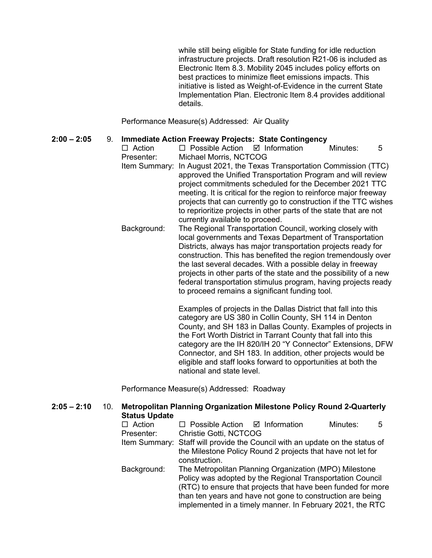while still being eligible for State funding for idle reduction infrastructure projects. Draft resolution R21-06 is included as Electronic Item 8.3. Mobility 2045 includes policy efforts on best practices to minimize fleet emissions impacts. This initiative is listed as Weight-of-Evidence in the current State Implementation Plan. Electronic Item 8.4 provides additional details.

Performance Measure(s) Addressed: Air Quality

### **2:00 – 2:05** 9. **Immediate Action Freeway Projects: State Contingency**

 $\Box$  Action  $\Box$  Possible Action  $\Box$  Information Minutes: 5 Presenter: Michael Morris, NCTCOG

- Item Summary: In August 2021, the Texas Transportation Commission (TTC) approved the Unified Transportation Program and will review project commitments scheduled for the December 2021 TTC meeting. It is critical for the region to reinforce major freeway projects that can currently go to construction if the TTC wishes to reprioritize projects in other parts of the state that are not currently available to proceed.
- Background: The Regional Transportation Council, working closely with local governments and Texas Department of Transportation Districts, always has major transportation projects ready for construction. This has benefited the region tremendously over the last several decades. With a possible delay in freeway projects in other parts of the state and the possibility of a new federal transportation stimulus program, having projects ready to proceed remains a significant funding tool.

Examples of projects in the Dallas District that fall into this category are US 380 in Collin County, SH 114 in Denton County, and SH 183 in Dallas County. Examples of projects in the Fort Worth District in Tarrant County that fall into this category are the IH 820/IH 20 "Y Connector" Extensions, DFW Connector, and SH 183. In addition, other projects would be eligible and staff looks forward to opportunities at both the national and state level.

Performance Measure(s) Addressed: Roadway

| $2:05 - 2:10$ | 10.                                                                          | <b>Metropolitan Planning Organization Milestone Policy Round 2-Quarterly</b><br><b>Status Update</b> |                                                                                                                         |                         |          |   |
|---------------|------------------------------------------------------------------------------|------------------------------------------------------------------------------------------------------|-------------------------------------------------------------------------------------------------------------------------|-------------------------|----------|---|
|               |                                                                              | $\Box$ Action                                                                                        | $\Box$ Possible Action                                                                                                  | $\boxtimes$ Information | Minutes: | 5 |
|               |                                                                              | Presenter:                                                                                           | <b>Christie Gotti, NCTCOG</b>                                                                                           |                         |          |   |
|               | Item Summary: Staff will provide the Council with an update on the status of |                                                                                                      |                                                                                                                         |                         |          |   |
|               |                                                                              |                                                                                                      | the Milestone Policy Round 2 projects that have not let for                                                             |                         |          |   |
|               |                                                                              |                                                                                                      | construction.                                                                                                           |                         |          |   |
|               |                                                                              | Background:                                                                                          | The Metropolitan Planning Organization (MPO) Milestone                                                                  |                         |          |   |
|               |                                                                              |                                                                                                      | Policy was adopted by the Regional Transportation Council                                                               |                         |          |   |
|               |                                                                              |                                                                                                      | (RTC) to ensure that projects that have been funded for more                                                            |                         |          |   |
|               |                                                                              |                                                                                                      | than ten years and have not gone to construction are being<br>implemented in a timely manner. In February 2021, the RTC |                         |          |   |
|               |                                                                              |                                                                                                      |                                                                                                                         |                         |          |   |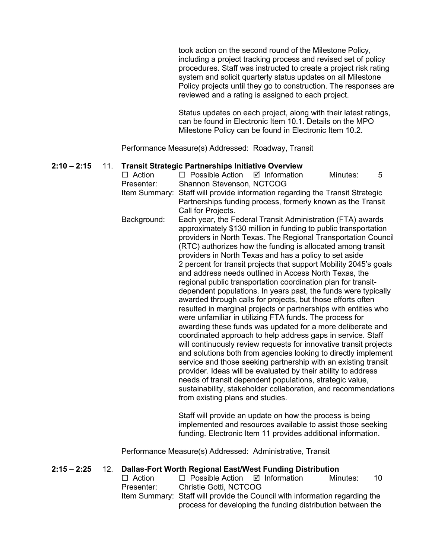took action on the second round of the Milestone Policy, including a project tracking process and revised set of policy procedures. Staff was instructed to create a project risk rating system and solicit quarterly status updates on all Milestone Policy projects until they go to construction. The responses are reviewed and a rating is assigned to each project.

Status updates on each project, along with their latest ratings, can be found in Electronic Item 10.1. Details on the MPO Milestone Policy can be found in Electronic Item 10.2.

Performance Measure(s) Addressed: Roadway, Transit

### **2:10 – 2:15** 11. **Transit Strategic Partnerships Initiative Overview**

 $\Box$  Action  $\Box$  Possible Action  $\Box$  Information Minutes: 5 Presenter: Shannon Stevenson, NCTCOG Item Summary: Staff will provide information regarding the Transit Strategic Partnerships funding process, formerly known as the Transit Call for Projects. Background: Each year, the Federal Transit Administration (FTA) awards approximately \$130 million in funding to public transportation providers in North Texas. The Regional Transportation Council (RTC) authorizes how the funding is allocated among transit providers in North Texas and has a policy to set aside 2 percent for transit projects that support Mobility 2045's goals and address needs outlined in Access North Texas, the regional public transportation coordination plan for transitdependent populations. In years past, the funds were typically awarded through calls for projects, but those efforts often resulted in marginal projects or partnerships with entities who were unfamiliar in utilizing FTA funds. The process for awarding these funds was updated for a more deliberate and coordinated approach to help address gaps in service. Staff will continuously review requests for innovative transit projects and solutions both from agencies looking to directly implement service and those seeking partnership with an existing transit provider. Ideas will be evaluated by their ability to address needs of transit dependent populations, strategic value, sustainability, stakeholder collaboration, and recommendations from existing plans and studies.

> Staff will provide an update on how the process is being implemented and resources available to assist those seeking funding. Electronic Item 11 provides additional information.

Performance Measure(s) Addressed: Administrative, Transit

### **2:15 – 2:25** 12. **Dallas-Fort Worth Regional East/West Funding Distribution**

 $\Box$  Action  $\Box$  Possible Action  $\Box$  Information Minutes: 10 Presenter: Christie Gotti, NCTCOG Item Summary: Staff will provide the Council with information regarding the process for developing the funding distribution between the